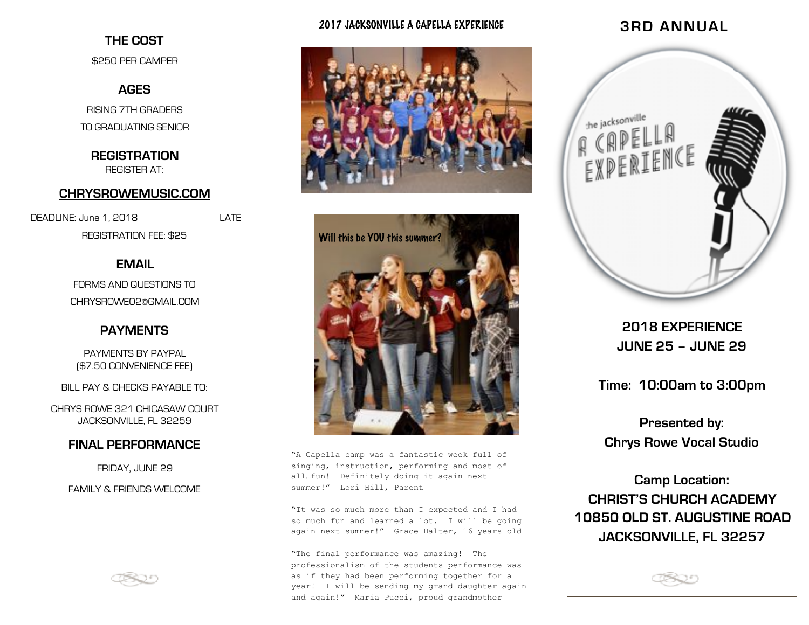### **THE COST**

\$250 PER CAMPER

# **AGES**

RISING 7TH GRADERS TO GRADUATING SENIOR

**REGISTRATION**  REGISTER AT:

#### **[CHRYSROWEMUSIC.COM](http://chrysrowemusic.com)**

DEADLINE: June 1, 2018 REGISTRATION FEE: \$25

# **EMAIL**

FORMS AND QUESTIONS TO CHRYSROWE02@GMAIL.COM

### **PAYMENTS**

PAYMENTS BY PAYPAL (\$7.50 CONVENIENCE FEE)

BILL PAY & CHECKS PAYABLE TO:

CHRYS ROWE 321 CHICASAW COURT JACKSONVILLE, FL 32259

#### **FINAL PERFORMANCE**

FRIDAY, JUNE 29

FAMILY & FRIENDS WELCOME



#### 2017 JACKSONVILLE A CAPELLA EXPERIENCE





"A Capella camp was a fantastic week full of singing, instruction, performing and most of all…fun! Definitely doing it again next summer!" Lori Hill, Parent

"It was so much more than I expected and I had so much fun and learned a lot. I will be going again next summer!" Grace Halter, 16 years old

"The final performance was amazing! The professionalism of the students performance was as if they had been performing together for a year! I will be sending my grand daughter again and again!" Maria Pucci, proud grandmother

# **3RD ANNUAL**



**2018 EXPERIENCE JUNE 25 – JUNE 29** 

**Time: 10:00am to 3:00pm** 

**Presented by: Chrys Rowe Vocal Studio** 

**Camp Location: CHRIST'S CHURCH ACADEMY 10850 OLD ST. AUGUSTINE ROAD JACKSONVILLE, FL 32257**